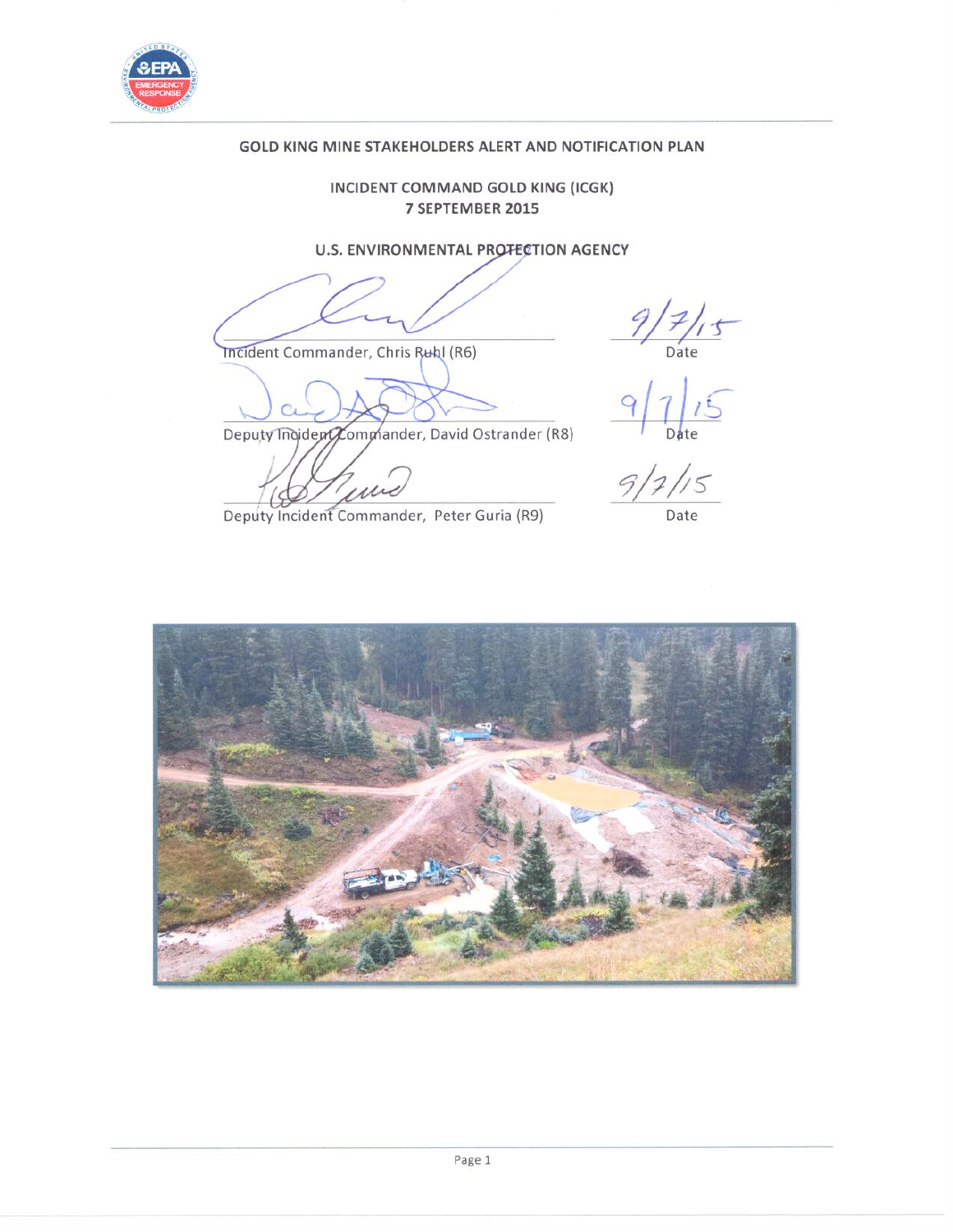

# GOLD KING MINE STAKEHOLDERS ALERT AND NOTIFICATION PLAN

## INCIDENT COMMAND GOLD KING (ICGK) 7 SEPTEMBER 2015

# U.S. ENVIRONMENTAL PROTECTION AGENCY

Incident Commander, Chris Ruhl (R6)

 $9/7/15$ <br>Date<br> $9/7/15$ <br> $9/7/15$ 

Deputy Indident Commander, David Ostrander (R8)

 $111$ 

Deputy Incident Commander, Peter Guria (R9)

Date

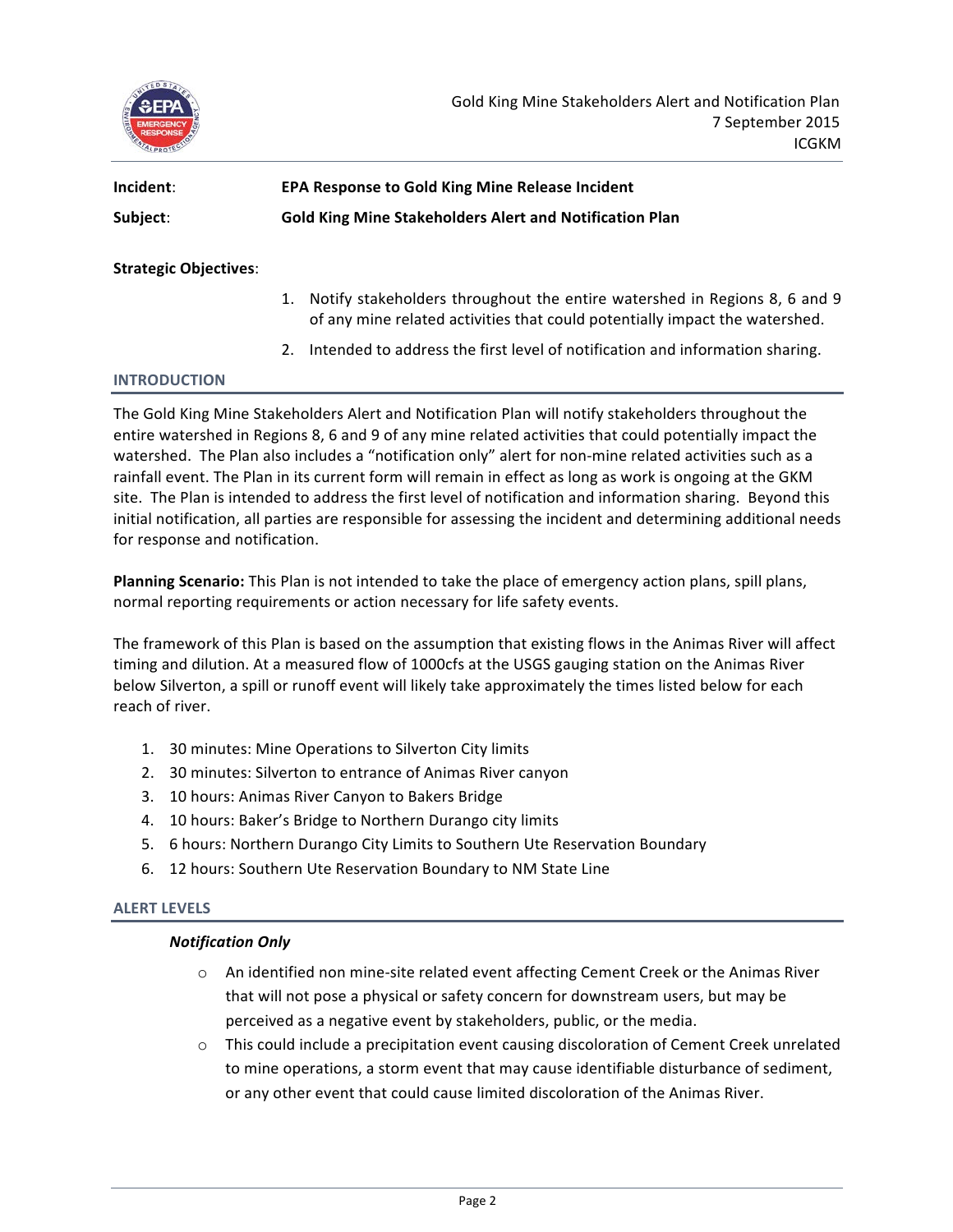

| Incident: | <b>EPA Response to Gold King Mine Release Incident</b>         |
|-----------|----------------------------------------------------------------|
| Subject:  | <b>Gold King Mine Stakeholders Alert and Notification Plan</b> |
|           |                                                                |

**Strategic Objectives:** 

- 1. Notify stakeholders throughout the entire watershed in Regions 8, 6 and 9 of any mine related activities that could potentially impact the watershed.
- 2. Intended to address the first level of notification and information sharing.

## **INTRODUCTION**

The Gold King Mine Stakeholders Alert and Notification Plan will notify stakeholders throughout the entire watershed in Regions 8, 6 and 9 of any mine related activities that could potentially impact the watershed. The Plan also includes a "notification only" alert for non-mine related activities such as a rainfall event. The Plan in its current form will remain in effect as long as work is ongoing at the GKM site. The Plan is intended to address the first level of notification and information sharing. Beyond this initial notification, all parties are responsible for assessing the incident and determining additional needs for response and notification.

Planning Scenario: This Plan is not intended to take the place of emergency action plans, spill plans, normal reporting requirements or action necessary for life safety events.

The framework of this Plan is based on the assumption that existing flows in the Animas River will affect timing and dilution. At a measured flow of 1000cfs at the USGS gauging station on the Animas River below Silverton, a spill or runoff event will likely take approximately the times listed below for each reach of river.

- 1. 30 minutes: Mine Operations to Silverton City limits
- 2. 30 minutes: Silverton to entrance of Animas River canyon
- 3. 10 hours: Animas River Canyon to Bakers Bridge
- 4. 10 hours: Baker's Bridge to Northern Durango city limits
- 5. 6 hours: Northern Durango City Limits to Southern Ute Reservation Boundary
- 6. 12 hours: Southern Ute Reservation Boundary to NM State Line

#### **ALERT LEVELS**

#### *Notification 
 Only*

- $\circ$  An identified non mine-site related event affecting Cement Creek or the Animas River that will not pose a physical or safety concern for downstream users, but may be perceived as a negative event by stakeholders, public, or the media.
- o This could include a precipitation event causing discoloration of Cement Creek unrelated to mine operations, a storm event that may cause identifiable disturbance of sediment, or any other event that could cause limited discoloration of the Animas River.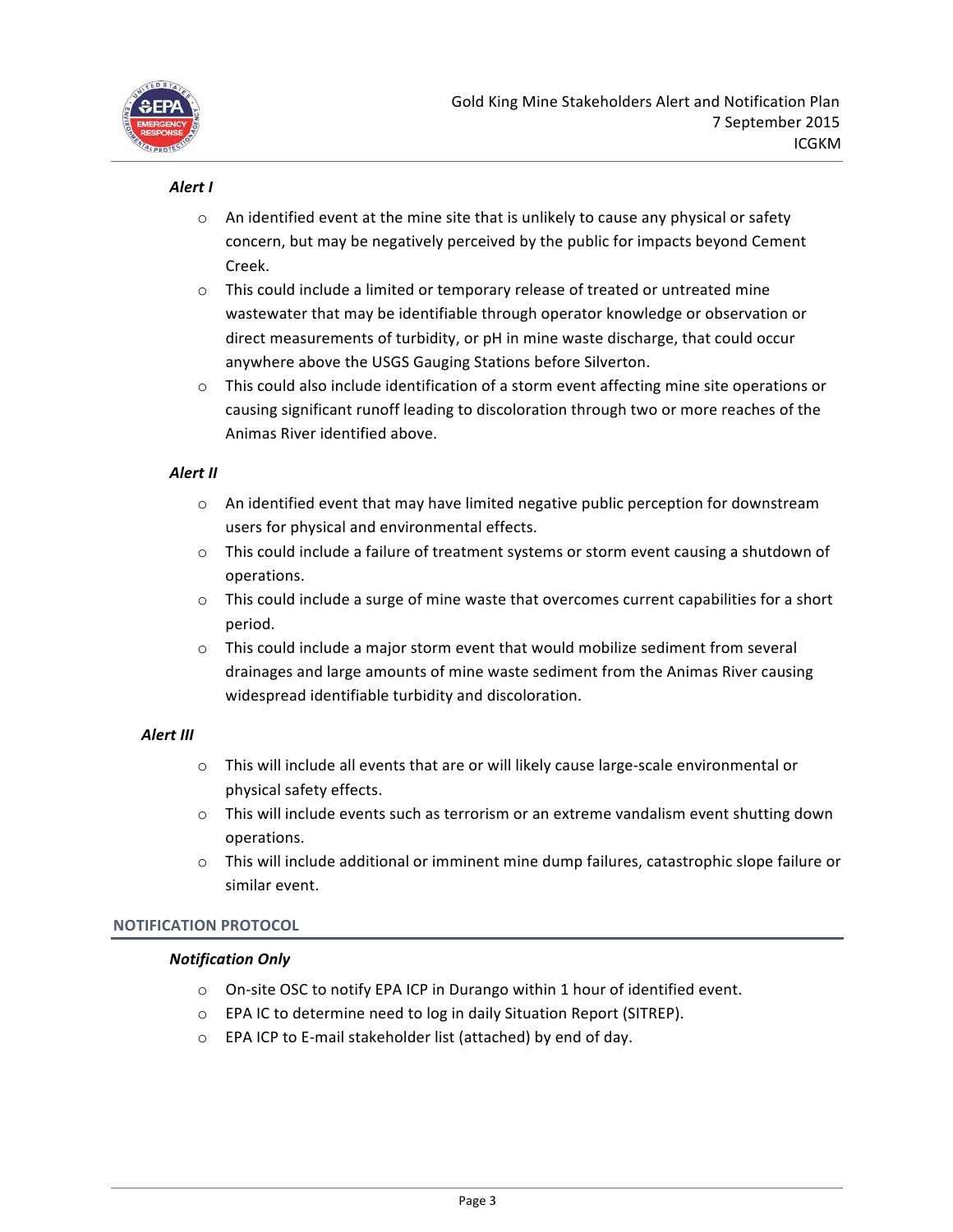

## Alert I

- $\circ$  An identified event at the mine site that is unlikely to cause any physical or safety concern, but may be negatively perceived by the public for impacts beyond Cement Creek.
- o This could include a limited or temporary release of treated or untreated mine wastewater that may be identifiable through operator knowledge or observation or direct measurements of turbidity, or pH in mine waste discharge, that could occur anywhere above the USGS Gauging Stations before Silverton.
- $\circ$  This could also include identification of a storm event affecting mine site operations or causing significant runoff leading to discoloration through two or more reaches of the Animas River identified above.

## **Alert II**

- $\circ$  An identified event that may have limited negative public perception for downstream users for physical and environmental effects.
- $\circ$  This could include a failure of treatment systems or storm event causing a shutdown of operations.
- $\circ$  This could include a surge of mine waste that overcomes current capabilities for a short period.
- $\circ$  This could include a major storm event that would mobilize sediment from several drainages and large amounts of mine waste sediment from the Animas River causing widespread identifiable turbidity and discoloration.

# **Alert III**

- $\circ$  This will include all events that are or will likely cause large-scale environmental or physical safety effects.
- $\circ$  This will include events such as terrorism or an extreme vandalism event shutting down operations.
- $\circ$  This will include additional or imminent mine dump failures, catastrophic slope failure or similar event.

## **NOTIFICATION PROTOCOL**

## *Notification 
 Only*

- $\circ$  On-site OSC to notify EPA ICP in Durango within 1 hour of identified event.
- $\circ$  EPA IC to determine need to log in daily Situation Report (SITREP).
- $\circ$  EPA ICP to E-mail stakeholder list (attached) by end of day.